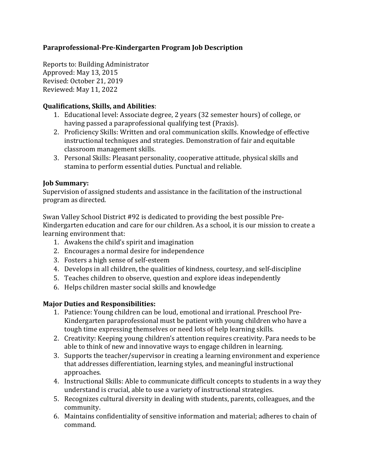# **Paraprofessional-Pre-Kindergarten Program Job Description**

Reports to: Building Administrator Approved: May 13, 2015 Revised: October 21, 2019 Reviewed: May 11, 2022

## **Qualifications, Skills, and Abilities**:

- 1. Educational level: Associate degree, 2 years (32 semester hours) of college, or having passed a paraprofessional qualifying test (Praxis).
- 2. Proficiency Skills: Written and oral communication skills. Knowledge of effective instructional techniques and strategies. Demonstration of fair and equitable classroom management skills.
- 3. Personal Skills: Pleasant personality, cooperative attitude, physical skills and stamina to perform essential duties. Punctual and reliable.

## **Job Summary:**

Supervision of assigned students and assistance in the facilitation of the instructional program as directed.

Swan Valley School District #92 is dedicated to providing the best possible Pre-Kindergarten education and care for our children. As a school, it is our mission to create a learning environment that:

- 1. Awakens the child's spirit and imagination
- 2. Encourages a normal desire for independence
- 3. Fosters a high sense of self-esteem
- 4. Develops in all children, the qualities of kindness, courtesy, and self-discipline
- 5. Teaches children to observe, question and explore ideas independently
- 6. Helps children master social skills and knowledge

## **Major Duties and Responsibilities:**

- 1. Patience: Young children can be loud, emotional and irrational. Preschool Pre-Kindergarten paraprofessional must be patient with young children who have a tough time expressing themselves or need lots of help learning skills.
- 2. Creativity: Keeping young children's attention requires creativity. Para needs to be able to think of new and innovative ways to engage children in learning.
- 3. Supports the teacher/supervisor in creating a learning environment and experience that addresses differentiation, learning styles, and meaningful instructional approaches.
- 4. Instructional Skills: Able to communicate difficult concepts to students in a way they understand is crucial, able to use a variety of instructional strategies.
- 5. Recognizes cultural diversity in dealing with students, parents, colleagues, and the community.
- 6. Maintains confidentiality of sensitive information and material; adheres to chain of command.